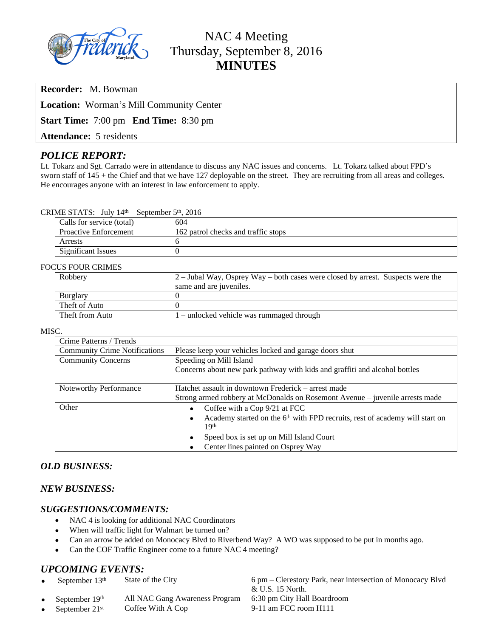

# NAC 4 Meeting Thursday, September 8, 2016 **MINUTES**

**Recorder:** M. Bowman

**Location:** Worman's Mill Community Center

**Start Time:** 7:00 pm **End Time:** 8:30 pm

**Attendance:** 5 residents

# *POLICE REPORT:*

Lt. Tokarz and Sgt. Carrado were in attendance to discuss any NAC issues and concerns. Lt. Tokarz talked about FPD's sworn staff of 145 + the Chief and that we have 127 deployable on the street. They are recruiting from all areas and colleges. He encourages anyone with an interest in law enforcement to apply.

## CRIME STATS: July 14th – September 5th, 2016

| Calls for service (total)    | 604                                 |  |
|------------------------------|-------------------------------------|--|
| <b>Proactive Enforcement</b> | 162 patrol checks and traffic stops |  |
| Arrests                      |                                     |  |
| Significant Issues           |                                     |  |

#### FOCUS FOUR CRIMES

| Robbery         | $\mid$ 2 – Jubal Way, Osprey Way – both cases were closed by arrest. Suspects were the |  |
|-----------------|----------------------------------------------------------------------------------------|--|
|                 | same and are juveniles.                                                                |  |
| Burglary        |                                                                                        |  |
| Theft of Auto   |                                                                                        |  |
| Theft from Auto | $1$ – unlocked vehicle was rummaged through                                            |  |

#### MISC.

| Crime Patterns / Trends              |                                                                                                      |  |  |
|--------------------------------------|------------------------------------------------------------------------------------------------------|--|--|
| <b>Community Crime Notifications</b> | Please keep your vehicles locked and garage doors shut                                               |  |  |
| <b>Community Concerns</b>            | Speeding on Mill Island                                                                              |  |  |
|                                      | Concerns about new park pathway with kids and graffiti and alcohol bottles                           |  |  |
|                                      |                                                                                                      |  |  |
| Noteworthy Performance               | Hatchet assault in downtown Frederick – arrest made                                                  |  |  |
|                                      | Strong armed robbery at McDonalds on Rosemont Avenue – juvenile arrests made                         |  |  |
| Other                                | Coffee with a Cop 9/21 at FCC<br>$\bullet$                                                           |  |  |
|                                      | Academy started on the 6 <sup>th</sup> with FPD recruits, rest of academy will start on<br>$\bullet$ |  |  |
|                                      | 19th                                                                                                 |  |  |
|                                      | Speed box is set up on Mill Island Court<br>$\bullet$                                                |  |  |
|                                      | Center lines painted on Osprey Way<br>$\bullet$                                                      |  |  |

## *OLD BUSINESS:*

## *NEW BUSINESS:*

## *SUGGESTIONS/COMMENTS:*

- NAC 4 is looking for additional NAC Coordinators
- When will traffic light for Walmart be turned on?
- Can an arrow be added on Monocacy Blvd to Riverbend Way? A WO was supposed to be put in months ago.
- Can the COF Traffic Engineer come to a future NAC 4 meeting?

# *UPCOMING EVENTS:*

- 
- 
- September 21<sup>st</sup> Coffee With A Cop 9-11 am FCC room H111

September 13<sup>th</sup> State of the City 6 pm – Clerestory Park, near intersection of Monocacy Blvd & U.S. 15 North. September 19<sup>th</sup> All NAC Gang Awareness Program 6:30 pm City Hall Boardroom<br>September 21<sup>st</sup> Coffee With A Cop 9-11 am FCC room H111